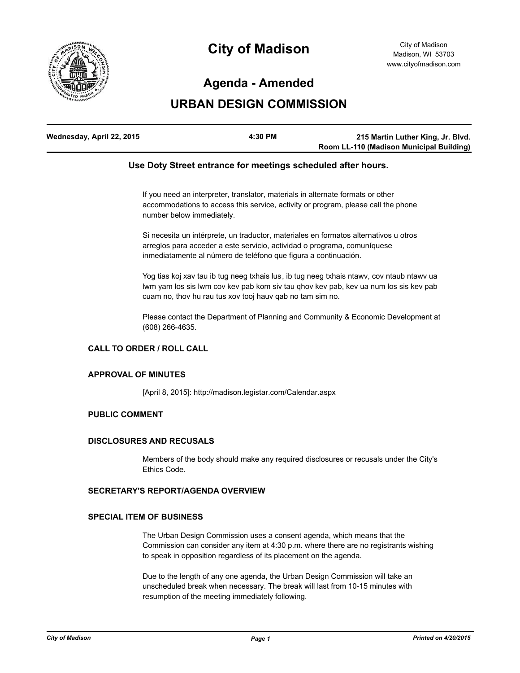

# **City of Madison**

## **Agenda - Amended**

# **URBAN DESIGN COMMISSION**

| Wednesday, April 22, 2015 | 4:30 PM | 215 Martin Luther King, Jr. Blvd.        |
|---------------------------|---------|------------------------------------------|
|                           |         | Room LL-110 (Madison Municipal Building) |

### **Use Doty Street entrance for meetings scheduled after hours.**

If you need an interpreter, translator, materials in alternate formats or other accommodations to access this service, activity or program, please call the phone number below immediately.

Si necesita un intérprete, un traductor, materiales en formatos alternativos u otros arreglos para acceder a este servicio, actividad o programa, comuníquese inmediatamente al número de teléfono que figura a continuación.

Yog tias koj xav tau ib tug neeg txhais lus, ib tug neeg txhais ntawv, cov ntaub ntawv ua lwm yam los sis lwm cov kev pab kom siv tau qhov kev pab, kev ua num los sis kev pab cuam no, thov hu rau tus xov tooj hauv qab no tam sim no.

Please contact the Department of Planning and Community & Economic Development at (608) 266-4635.

#### **CALL TO ORDER / ROLL CALL**

#### **APPROVAL OF MINUTES**

[April 8, 2015]: http://madison.legistar.com/Calendar.aspx

#### **PUBLIC COMMENT**

#### **DISCLOSURES AND RECUSALS**

Members of the body should make any required disclosures or recusals under the City's Ethics Code.

### **SECRETARY'S REPORT/AGENDA OVERVIEW**

#### **SPECIAL ITEM OF BUSINESS**

The Urban Design Commission uses a consent agenda, which means that the Commission can consider any item at 4:30 p.m. where there are no registrants wishing to speak in opposition regardless of its placement on the agenda.

Due to the length of any one agenda, the Urban Design Commission will take an unscheduled break when necessary. The break will last from 10-15 minutes with resumption of the meeting immediately following.